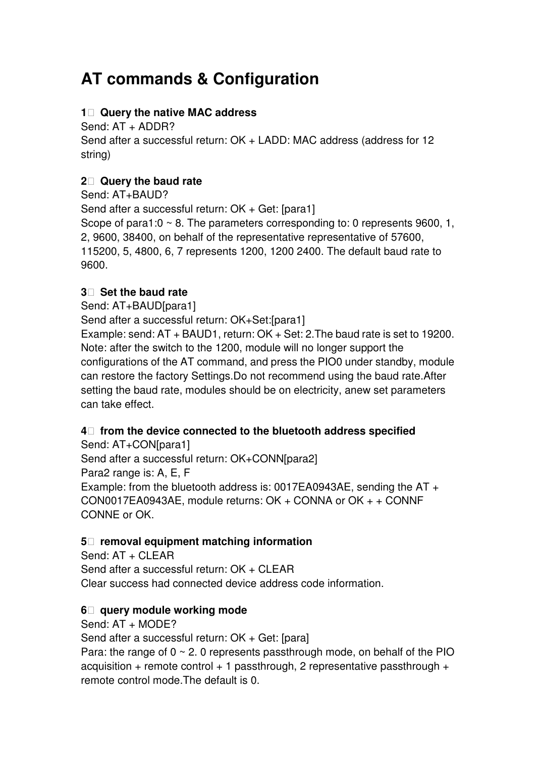# **AT commands & Configuration**

# **1 Query the native MAC address**

Send: AT + ADDR?

Send after a successful return: OK + LADD: MAC address (address for 12 string)

# **2 Query the baud rate**

Send: AT+BAUD? Send after a successful return: OK + Get: [para1] Scope of para1:0  $\sim$  8. The parameters corresponding to: 0 represents 9600, 1, 2, 9600, 38400, on behalf of the representative representative of 57600, 115200, 5, 4800, 6, 7 represents 1200, 1200 2400. The default baud rate to 9600.

## **3 Set the baud rate**

Send: AT+BAUD[para1]

Send after a successful return: OK+Set:[para1]

Example: send: AT + BAUD1, return: OK + Set: 2.The baud rate is set to 19200. Note: after the switch to the 1200, module will no longer support the configurations of the AT command, and press the PIO0 under standby, module can restore the factory Settings.Do not recommend using the baud rate.After setting the baud rate, modules should be on electricity, anew set parameters can take effect.

## **4 from the device connected to the bluetooth address specified**

Send: AT+CON[para1] Send after a successful return: OK+CONN[para2] Para2 range is: A, E, F Example: from the bluetooth address is: 0017EA0943AE, sending the AT + CON0017EA0943AE, module returns: OK + CONNA or OK + + CONNF CONNE or OK.

## **5 removal equipment matching information**

Send: AT + CLEAR Send after a successful return: OK + CLEAR Clear success had connected device address code information.

## **6 query module working mode**

Send:  $AT + MODF$ ?

Send after a successful return: OK + Get: [para]

Para: the range of  $0 \sim 2$ . 0 represents passthrough mode, on behalf of the PIO acquisition + remote control + 1 passthrough, 2 representative passthrough + remote control mode.The default is 0.